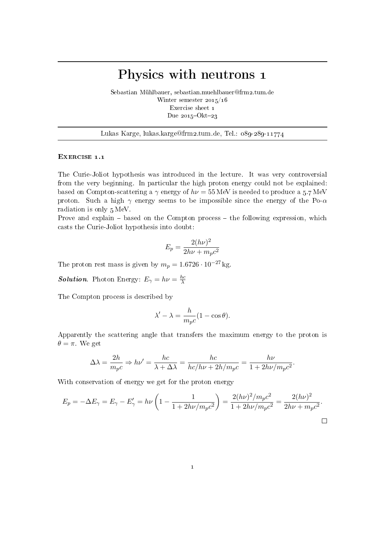# Physics with neutrons 1

Sebastian Mühlbauer, sebastian.muehlbauer@frm2.tum.de Winter semester 2015/16 Exercise sheet 1 Due  $2015$ -Okt-23

Lukas Karge, lukas.karge@frm2.tum.de, Tel.: 089-289-11774

### EXERCISE 1.1

The Curie-Joliot hypothesis was introduced in the lecture. It was very controversial from the very beginning. In particular the high proton energy could not be explained: based on Compton-scattering a  $\gamma$  energy of  $h\nu = 55 \text{ MeV}$  is needed to produce a 5.7 MeV proton. Such a high  $\gamma$  energy seems to be impossible since the energy of the Po- $\alpha$ radiation is only 5 MeV.

Prove and explain  $-$  based on the Compton process  $-$  the following expression, which casts the Curie-Joliot hypothesis into doubt:

$$
E_p = \frac{2(h\nu)^2}{2h\nu + m_p c^2}
$$

The proton rest mass is given by  $m_p = 1.6726 \cdot 10^{-27}$  kg.

**Solution**. Photon Energy:  $E_{\gamma} = h\nu = \frac{hc}{\lambda}$ λ

The Compton process is described by

$$
\lambda' - \lambda = \frac{h}{m_p c} (1 - \cos \theta).
$$

Apparently the scattering angle that transfers the maximum energy to the proton is  $\theta = \pi$ . We get

$$
\Delta\lambda = \frac{2h}{m_pc} \Rightarrow h\nu' = \frac{hc}{\lambda + \Delta\lambda} = \frac{hc}{hc/h\nu + 2h/m_pc} = \frac{h\nu}{1 + 2h\nu/m_pc^2}
$$

.

With conservation of energy we get for the proton energy

$$
E_p = -\Delta E_\gamma = E_\gamma - E'_\gamma = h\nu \left( 1 - \frac{1}{1 + 2h\nu/m_pc^2} \right) = \frac{2(h\nu)^2/m_pc^2}{1 + 2h\nu/m_pc^2} = \frac{2(h\nu)^2}{2h\nu + m_pc^2}.
$$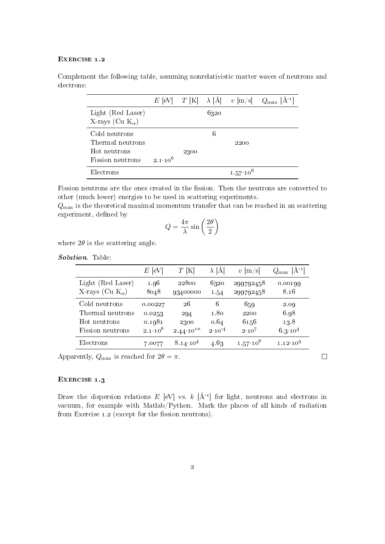#### EXERCISE 1.2

Complement the following table, assuming nonrelativistic matter waves of neutrons and electrons:

|                                                   |                    |      |      | $E$ [eV] $T$ [K] $\lambda$ [Å] $v$ [m/s] | $Q_{\text{max}}$ [Å <sup>-1</sup> ] |
|---------------------------------------------------|--------------------|------|------|------------------------------------------|-------------------------------------|
| Light (Red Laser)<br>X-rays (Cu $K_{\alpha}$ )    |                    |      | 6320 |                                          |                                     |
| Cold neutrons<br>Thermal neutrons<br>Hot neutrons |                    | 2300 | 6    | 2200                                     |                                     |
| Fission neutrons                                  | $2.1 \cdot 10^{6}$ |      |      |                                          |                                     |
| Electrons                                         |                    |      |      | $1.57 \cdot 10^6$                        |                                     |

Fission neutrons are the ones created in the fission. Then the neutrons are converted to other (much lower) energies to be used in scattering experiments.

 $Q<sub>max</sub>$  is the theoretical maximal momentum transfer that can be reached in an scattering experiment, defined by

$$
Q = \frac{4\pi}{\lambda} \sin\left(\frac{2\theta}{2}\right)
$$

where  $2\theta$  is the scattering angle.

Solution. Table:

|                           | $E$ [eV]           | $T$ [K]              | $\lambda$  A | $v \,  \mathrm{m/s} $ | $Q_{\text{max}}$ [A <sup>-1</sup> ] |
|---------------------------|--------------------|----------------------|--------------|-----------------------|-------------------------------------|
| Light (Red Laser)         | 1.96               | 22800                | 6320         | 299792458             | 0.00199                             |
| X-rays (Cu $K_{\alpha}$ ) | 8048               | 93400000             | 1.54         | 299792458             | 8.16                                |
| Cold neutrons             | 0.00227            | 26                   | 6            | 659                   | 2.09                                |
| Thermal neutrons          | 0.0253             | 294                  | 1.80         | 2200                  | 6.98                                |
| Hot neutrons              | 0.1981             | 2300                 | 0.64         | 6156                  | 13.8                                |
| Fission neutrons          | $2.1 \cdot 10^{6}$ | $2.44 \cdot 10^{10}$ | $2.10^{-4}$  | $2.10^{7}$            | $6.3 \cdot 10^{4}$                  |
| Electrons                 | 7.0077             | $8.14 \cdot 10^{4}$  | 4.63         | $1.57 \cdot 10^{6}$   | $1.12 \cdot 10^{9}$                 |

Apparently,  $Q_{\text{max}}$  is reached for  $2\theta = \pi$ .

## EXERCISE 1.3

Draw the dispersion relations E [eV] vs. k  $[\AA^{-1}]$  for light, neutrons and electrons in vacuum, for example with Matlab/Python. Mark the places of all kinds of radiation from Exercise  $1.2$  (except for the fission neutrons).

 $\Box$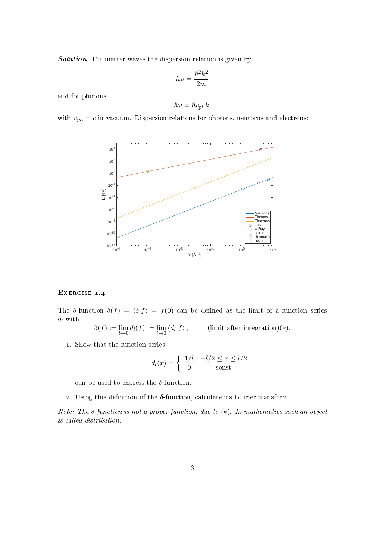Solution. For matter waves the dispersion relation is given by

$$
\hbar\omega=\frac{\hbar^2k^2}{2m}
$$

and for photons

$$
\hbar\omega = \hbar v_{\text{ph}}k,
$$

with  $v_{ph} = c$  in vacuum. Dispersion relations for photons, neutorns and electrons:



#### $\Box$

# EXERCISE 1.4

The δ-function  $\delta(f) = \langle \delta | f \rangle = f(0)$  can be defined as the limit of a function series  $d_l$  with  $\text{ratio}$  $(x)$ .

$$
\delta(f) := \lim_{l \to 0} d_l(f) := \lim_{l \to 0} \langle d_l | f \rangle, \qquad \text{(limit after integer)}
$$

1. Show that the function series

$$
d_l(x) = \begin{cases} 1/l & -l/2 \le x \le l/2\\ 0 & \text{sonst} \end{cases}
$$

can be used to express the  $\delta$ -function.

2. Using this definition of the  $\delta$ -function, calculate its Fourier transform.

Note: The  $\delta$ -function is not a proper function, due to  $(*)$ . In mathematics such an object is called distribution.